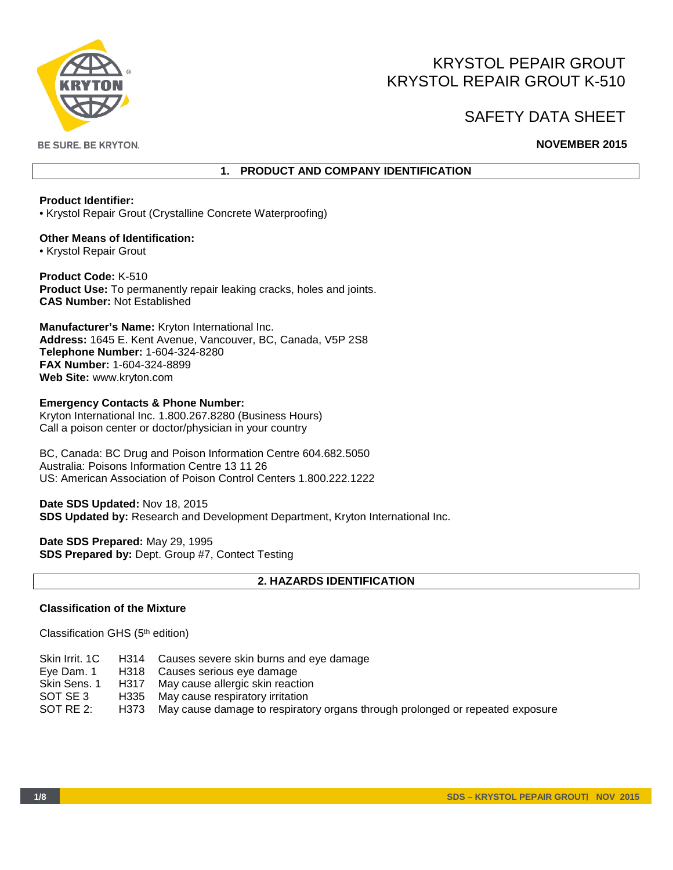

# KRYSTOL PEPAIR GROUT KRYSTOL REPAIR GROUT K-510

# SAFETY DATA SHEET

**BE SURE. BE KRYTON.** 

# **NOVEMBER 2015**

# **1. PRODUCT AND COMPANY IDENTIFICATION**

## **Product Identifier:**

• Krystol Repair Grout (Crystalline Concrete Waterproofing)

**Other Means of Identification:**  • Krystol Repair Grout

**Product Code:** K-510 **Product Use:** To permanently repair leaking cracks, holes and joints. **CAS Number:** Not Established

**Manufacturer's Name:** Kryton International Inc. **Address:** 1645 E. Kent Avenue, Vancouver, BC, Canada, V5P 2S8 **Telephone Number:** 1-604-324-8280 **FAX Number:** 1-604-324-8899 **Web Site:** www.kryton.com

#### **Emergency Contacts & Phone Number:**

Kryton International Inc. 1.800.267.8280 (Business Hours) Call a poison center or doctor/physician in your country

BC, Canada: BC Drug and Poison Information Centre 604.682.5050 Australia: Poisons Information Centre 13 11 26 US: American Association of Poison Control Centers 1.800.222.1222

**Date SDS Updated:** Nov 18, 2015 **SDS Updated by:** Research and Development Department, Kryton International Inc.

**Date SDS Prepared:** May 29, 1995 **SDS Prepared by:** Dept. Group #7, Contect Testing

# **2. HAZARDS IDENTIFICATION**

## **Classification of the Mixture**

Classification GHS (5th edition)

| Skin Irrit. 1C | H314 Causes severe skin burns and eye damage                                       |
|----------------|------------------------------------------------------------------------------------|
| Eye Dam. 1     | H318 Causes serious eye damage                                                     |
| Skin Sens. 1   | H317 May cause allergic skin reaction                                              |
| SOT SE 3       | H335 May cause respiratory irritation                                              |
| SOT RE 2:      | H373 May cause damage to respiratory organs through prolonged or repeated exposure |
|                |                                                                                    |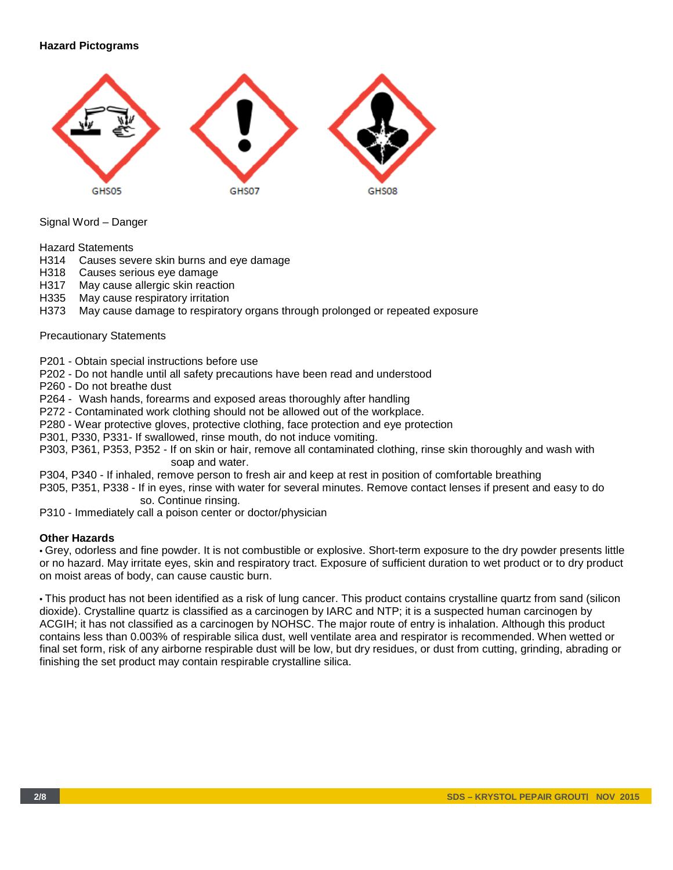# **Hazard Pictograms**



Signal Word – Danger

Hazard Statements

- H314 Causes severe skin burns and eye damage
- H318 Causes serious eye damage
- H317 May cause allergic skin reaction
- H335 May cause respiratory irritation
- H373 May cause damage to respiratory organs through prolonged or repeated exposure

#### Precautionary Statements

P201 - Obtain special instructions before use

P202 - Do not handle until all safety precautions have been read and understood

P260 - Do not breathe dust

P264 - Wash hands, forearms and exposed areas thoroughly after handling

P272 - Contaminated work clothing should not be allowed out of the workplace.

P280 - Wear protective gloves, protective clothing, face protection and eye protection

P301, P330, P331- If swallowed, rinse mouth, do not induce vomiting.

P303, P361, P353, P352 - If on skin or hair, remove all contaminated clothing, rinse skin thoroughly and wash with soap and water.

P304, P340 - If inhaled, remove person to fresh air and keep at rest in position of comfortable breathing

P305, P351, P338 - If in eyes, rinse with water for several minutes. Remove contact lenses if present and easy to do so. Continue rinsing.

P310 - Immediately call a poison center or doctor/physician

## **Other Hazards**

• Grey, odorless and fine powder. It is not combustible or explosive. Short-term exposure to the dry powder presents little or no hazard. May irritate eyes, skin and respiratory tract. Exposure of sufficient duration to wet product or to dry product on moist areas of body, can cause caustic burn.

• This product has not been identified as a risk of lung cancer. This product contains crystalline quartz from sand (silicon dioxide). Crystalline quartz is classified as a carcinogen by IARC and NTP; it is a suspected human carcinogen by ACGIH; it has not classified as a carcinogen by NOHSC. The major route of entry is inhalation. Although this product contains less than 0.003% of respirable silica dust, well ventilate area and respirator is recommended. When wetted or final set form, risk of any airborne respirable dust will be low, but dry residues, or dust from cutting, grinding, abrading or finishing the set product may contain respirable crystalline silica.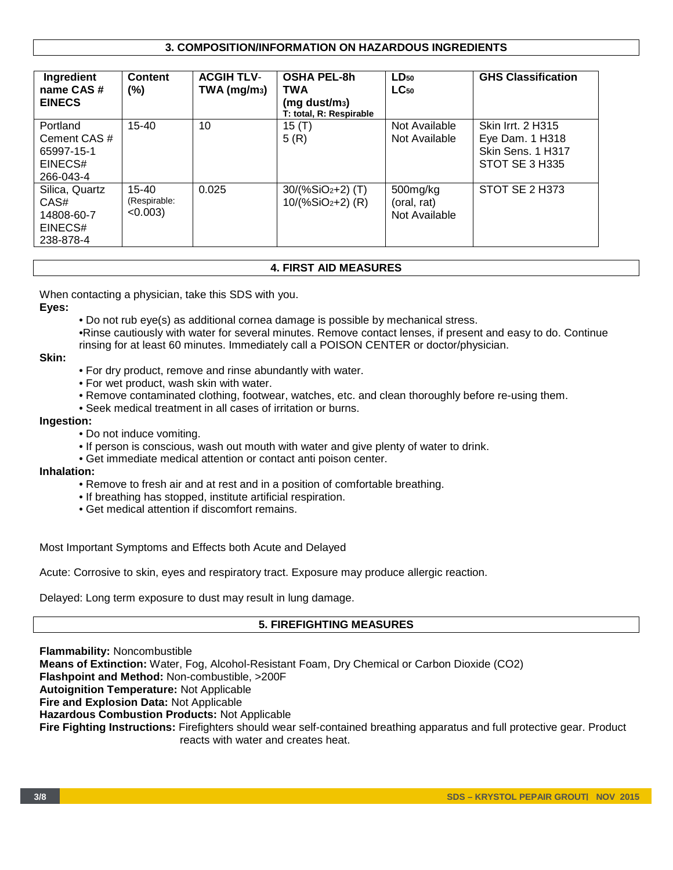# **3. COMPOSITION/INFORMATION ON HAZARDOUS INGREDIENTS**

| Ingredient<br>name CAS#<br><b>EINECS</b>                       | <b>Content</b><br>$(\% )$                | <b>ACGIH TLV-</b><br>$TWA$ (mg/m <sub>3</sub> ) | <b>OSHA PEL-8h</b><br>TWA<br>$(mg$ dust/m <sub>3</sub> )<br>T: total, R: Respirable | $LD_{50}$<br>$LC_{50}$                   | <b>GHS Classification</b>                                                          |
|----------------------------------------------------------------|------------------------------------------|-------------------------------------------------|-------------------------------------------------------------------------------------|------------------------------------------|------------------------------------------------------------------------------------|
| Portland<br>Cement CAS #<br>65997-15-1<br>EINECS#<br>266-043-4 | $15 - 40$                                | 10                                              | 15 $(T)$<br>5(R)                                                                    | Not Available<br>Not Available           | <b>Skin Irrt. 2 H315</b><br>Eye Dam. 1 H318<br>Skin Sens. 1 H317<br>STOT SE 3 H335 |
| Silica, Quartz<br>CAS#<br>14808-60-7<br>EINECS#<br>238-878-4   | $15 - 40$<br>(Respirable:<br>$< 0.003$ ) | 0.025                                           | $30/(%SiO2+2)$ (T)<br>$10/(%SiO2+2)$ (R)                                            | 500mg/kg<br>(oral, rat)<br>Not Available | STOT SE 2 H373                                                                     |

# **4. FIRST AID MEASURES**

When contacting a physician, take this SDS with you.

**Eyes:**

• Do not rub eye(s) as additional cornea damage is possible by mechanical stress.

•Rinse cautiously with water for several minutes. Remove contact lenses, if present and easy to do. Continue rinsing for at least 60 minutes. Immediately call a POISON CENTER or doctor/physician.

#### **Skin:**

- For dry product, remove and rinse abundantly with water.
- For wet product, wash skin with water.
- Remove contaminated clothing, footwear, watches, etc. and clean thoroughly before re-using them.
- Seek medical treatment in all cases of irritation or burns.

#### **Ingestion:**

- Do not induce vomiting.
- If person is conscious, wash out mouth with water and give plenty of water to drink.
- Get immediate medical attention or contact anti poison center.

#### **Inhalation:**

- Remove to fresh air and at rest and in a position of comfortable breathing.
- If breathing has stopped, institute artificial respiration.
- Get medical attention if discomfort remains.

Most Important Symptoms and Effects both Acute and Delayed

Acute: Corrosive to skin, eyes and respiratory tract. Exposure may produce allergic reaction.

Delayed: Long term exposure to dust may result in lung damage.

# **5. FIREFIGHTING MEASURES**

**Flammability:** Noncombustible **Means of Extinction:** Water, Fog, Alcohol-Resistant Foam, Dry Chemical or Carbon Dioxide (CO2) **Flashpoint and Method:** Non-combustible, >200F **Autoignition Temperature:** Not Applicable **Fire and Explosion Data:** Not Applicable **Hazardous Combustion Products:** Not Applicable **Fire Fighting Instructions:** Firefighters should wear self-contained breathing apparatus and full protective gear. Product reacts with water and creates heat.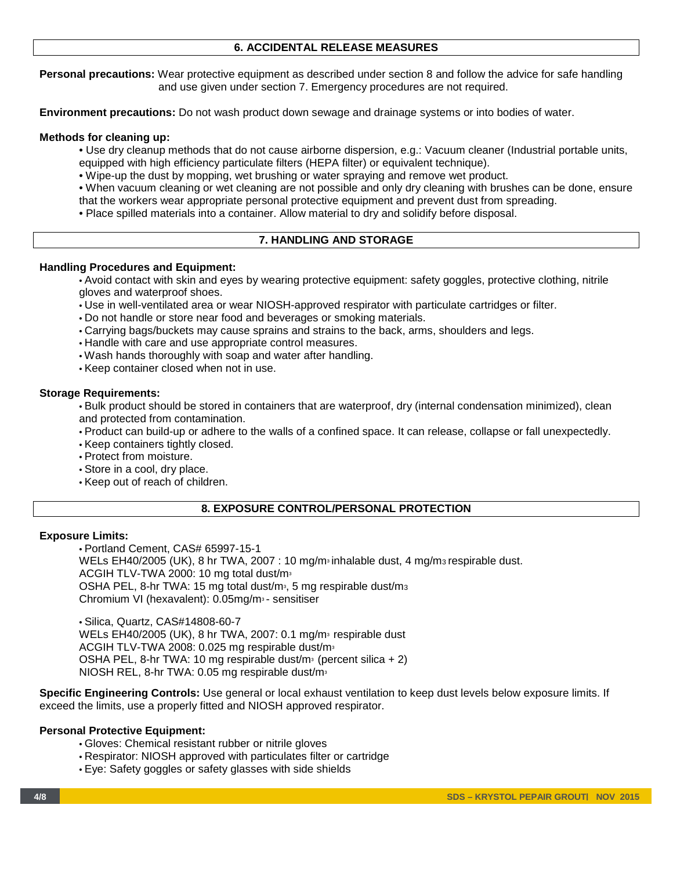## **6. ACCIDENTAL RELEASE MEASURES**

**Personal precautions:** Wear protective equipment as described under section 8 and follow the advice for safe handling and use given under section 7. Emergency procedures are not required.

**Environment precautions:** Do not wash product down sewage and drainage systems or into bodies of water.

#### **Methods for cleaning up:**

- Use dry cleanup methods that do not cause airborne dispersion, e.g.: Vacuum cleaner (Industrial portable units,
- equipped with high efficiency particulate filters (HEPA filter) or equivalent technique).
- Wipe-up the dust by mopping, wet brushing or water spraying and remove wet product.
- When vacuum cleaning or wet cleaning are not possible and only dry cleaning with brushes can be done, ensure that the workers wear appropriate personal protective equipment and prevent dust from spreading.

• Place spilled materials into a container. Allow material to dry and solidify before disposal.

#### **7. HANDLING AND STORAGE**

#### **Handling Procedures and Equipment:**

• Avoid contact with skin and eyes by wearing protective equipment: safety goggles, protective clothing, nitrile gloves and waterproof shoes.

- Use in well-ventilated area or wear NIOSH-approved respirator with particulate cartridges or filter.
- Do not handle or store near food and beverages or smoking materials.
- Carrying bags/buckets may cause sprains and strains to the back, arms, shoulders and legs.
- Handle with care and use appropriate control measures.
- Wash hands thoroughly with soap and water after handling.
- Keep container closed when not in use.

#### **Storage Requirements:**

• Bulk product should be stored in containers that are waterproof, dry (internal condensation minimized), clean and protected from contamination.

• Product can build-up or adhere to the walls of a confined space. It can release, collapse or fall unexpectedly.

- Keep containers tightly closed.
- Protect from moisture.
- Store in a cool, dry place.
- Keep out of reach of children.

## **8. EXPOSURE CONTROL/PERSONAL PROTECTION**

#### **Exposure Limits:**

• Portland Cement, CAS# 65997-15-1 WELs EH40/2005 (UK), 8 hr TWA, 2007 : 10 mg/m $\frac{1}{2}$  inhalable dust, 4 mg/m $\frac{1}{2}$  respirable dust. ACGIH TLV-TWA 2000: 10 mg total dust/m<sup>3</sup> OSHA PEL, 8-hr TWA: 15 mg total dust/m<sup>3</sup>, 5 mg respirable dust/m<sup>3</sup> Chromium VI (hexavalent): 0.05mg/m<sup>3</sup> - sensitiser

• Silica, Quartz, CAS#14808-60-7 WELs EH40/2005 (UK), 8 hr TWA, 2007: 0.1 mg/m<sup>3</sup> respirable dust ACGIH TLV-TWA 2008: 0.025 mg respirable dust/m<sup>3</sup> OSHA PEL, 8-hr TWA: 10 mg respirable dust/m<sup>3</sup> (percent silica  $+ 2$ ) NIOSH REL, 8-hr TWA: 0.05 mg respirable dust/m<sup>3</sup>

**Specific Engineering Controls:** Use general or local exhaust ventilation to keep dust levels below exposure limits. If exceed the limits, use a properly fitted and NIOSH approved respirator.

## **Personal Protective Equipment:**

- Gloves: Chemical resistant rubber or nitrile gloves
- Respirator: NIOSH approved with particulates filter or cartridge
- Eye: Safety goggles or safety glasses with side shields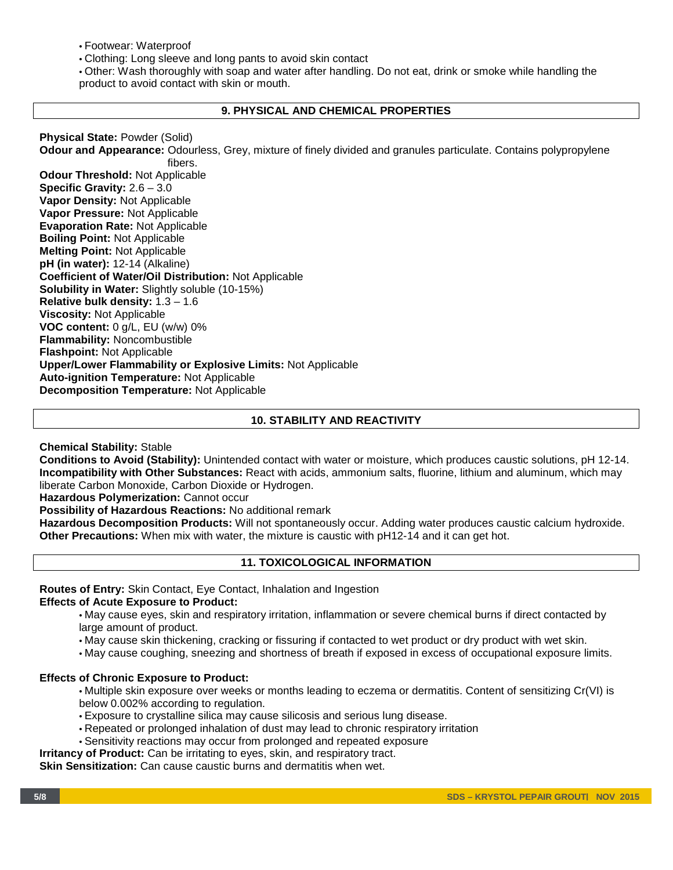• Footwear: Waterproof

• Clothing: Long sleeve and long pants to avoid skin contact

• Other: Wash thoroughly with soap and water after handling. Do not eat, drink or smoke while handling the product to avoid contact with skin or mouth.

## **9. PHYSICAL AND CHEMICAL PROPERTIES**

**Physical State:** Powder (Solid) **Odour and Appearance:** Odourless, Grey, mixture of finely divided and granules particulate. Contains polypropylene fibers. **Odour Threshold:** Not Applicable **Specific Gravity:** 2.6 – 3.0 **Vapor Density:** Not Applicable **Vapor Pressure:** Not Applicable **Evaporation Rate:** Not Applicable **Boiling Point:** Not Applicable **Melting Point:** Not Applicable **pH (in water):** 12-14 (Alkaline) **Coefficient of Water/Oil Distribution:** Not Applicable **Solubility in Water:** Slightly soluble (10-15%) **Relative bulk density:** 1.3 – 1.6 **Viscosity:** Not Applicable **VOC content:** 0 g/L, EU (w/w) 0% **Flammability:** Noncombustible **Flashpoint:** Not Applicable **Upper/Lower Flammability or Explosive Limits:** Not Applicable **Auto-ignition Temperature:** Not Applicable **Decomposition Temperature:** Not Applicable

# **10. STABILITY AND REACTIVITY**

**Chemical Stability:** Stable

**Conditions to Avoid (Stability):** Unintended contact with water or moisture, which produces caustic solutions, pH 12-14. **Incompatibility with Other Substances:** React with acids, ammonium salts, fluorine, lithium and aluminum, which may liberate Carbon Monoxide, Carbon Dioxide or Hydrogen.

**Hazardous Polymerization:** Cannot occur

**Possibility of Hazardous Reactions:** No additional remark

**Hazardous Decomposition Products:** Will not spontaneously occur. Adding water produces caustic calcium hydroxide. **Other Precautions:** When mix with water, the mixture is caustic with pH12-14 and it can get hot.

# **11. TOXICOLOGICAL INFORMATION**

**Routes of Entry:** Skin Contact, Eye Contact, Inhalation and Ingestion

## **Effects of Acute Exposure to Product:**

• May cause eyes, skin and respiratory irritation, inflammation or severe chemical burns if direct contacted by large amount of product.

- May cause skin thickening, cracking or fissuring if contacted to wet product or dry product with wet skin.
- May cause coughing, sneezing and shortness of breath if exposed in excess of occupational exposure limits.

## **Effects of Chronic Exposure to Product:**

• Multiple skin exposure over weeks or months leading to eczema or dermatitis. Content of sensitizing Cr(VI) is below 0.002% according to regulation.

- Exposure to crystalline silica may cause silicosis and serious lung disease.
- Repeated or prolonged inhalation of dust may lead to chronic respiratory irritation
- Sensitivity reactions may occur from prolonged and repeated exposure
- **Irritancy of Product:** Can be irritating to eyes, skin, and respiratory tract.

**Skin Sensitization:** Can cause caustic burns and dermatitis when wet.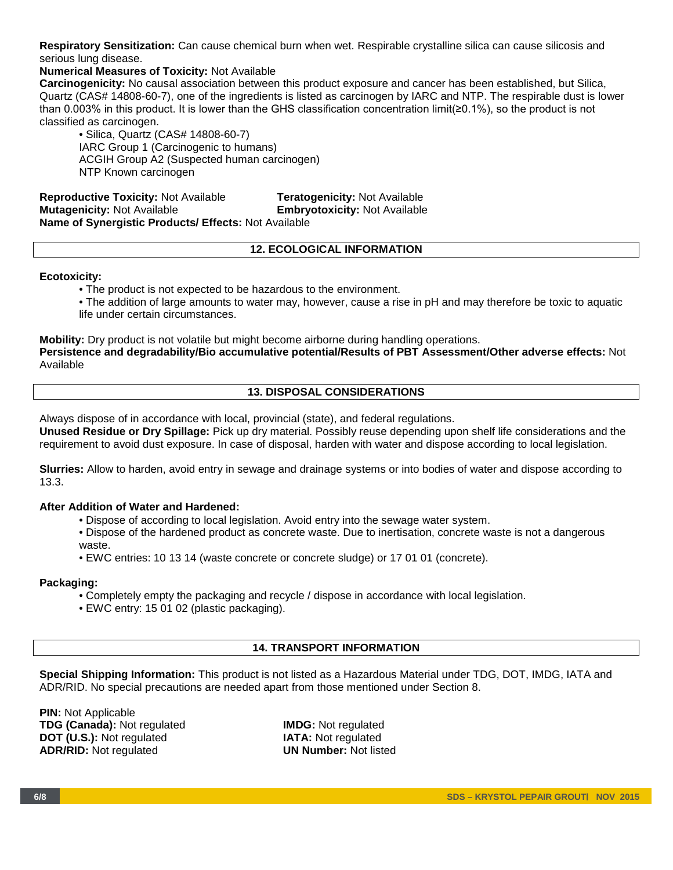**Respiratory Sensitization:** Can cause chemical burn when wet. Respirable crystalline silica can cause silicosis and serious lung disease.

## **Numerical Measures of Toxicity:** Not Available

**Carcinogenicity:** No causal association between this product exposure and cancer has been established, but Silica, Quartz (CAS# 14808-60-7), one of the ingredients is listed as carcinogen by IARC and NTP. The respirable dust is lower than 0.003% in this product. It is lower than the GHS classification concentration limit(≥0.1%), so the product is not classified as carcinogen.

• Silica, Quartz (CAS# 14808-60-7) IARC Group 1 (Carcinogenic to humans) ACGIH Group A2 (Suspected human carcinogen) NTP Known carcinogen

**Reproductive Toxicity:** Not Available **Teratogenicity:** Not Available **Mutagenicity:** Not Available **Embryotoxicity:** Not Available **Name of Synergistic Products/ Effects:** Not Available

## **12. ECOLOGICAL INFORMATION**

#### **Ecotoxicity:**

• The product is not expected to be hazardous to the environment.

• The addition of large amounts to water may, however, cause a rise in pH and may therefore be toxic to aquatic life under certain circumstances.

**Mobility:** Dry product is not volatile but might become airborne during handling operations. **Persistence and degradability/Bio accumulative potential/Results of PBT Assessment/Other adverse effects:** Not Available

## **13. DISPOSAL CONSIDERATIONS**

Always dispose of in accordance with local, provincial (state), and federal regulations.

**Unused Residue or Dry Spillage:** Pick up dry material. Possibly reuse depending upon shelf life considerations and the requirement to avoid dust exposure. In case of disposal, harden with water and dispose according to local legislation.

**Slurries:** Allow to harden, avoid entry in sewage and drainage systems or into bodies of water and dispose according to 13.3.

## **After Addition of Water and Hardened:**

- Dispose of according to local legislation. Avoid entry into the sewage water system.
- Dispose of the hardened product as concrete waste. Due to inertisation, concrete waste is not a dangerous waste.
- EWC entries: 10 13 14 (waste concrete or concrete sludge) or 17 01 01 (concrete).

## **Packaging:**

- Completely empty the packaging and recycle / dispose in accordance with local legislation.
- EWC entry: 15 01 02 (plastic packaging).

## **14. TRANSPORT INFORMATION**

**Special Shipping Information:** This product is not listed as a Hazardous Material under TDG, DOT, IMDG, IATA and ADR/RID. No special precautions are needed apart from those mentioned under Section 8.

**PIN: Not Applicable TDG (Canada):** Not regulated **IMDG:** Not regulated **DOT (U.S.):** Not regulated **IATA:** Not regulated **DOT (U.S.):** Not regulated **IATA:** Not regulated **IATA:** Not regulated **INDITIES ADR/RID:** Not regulated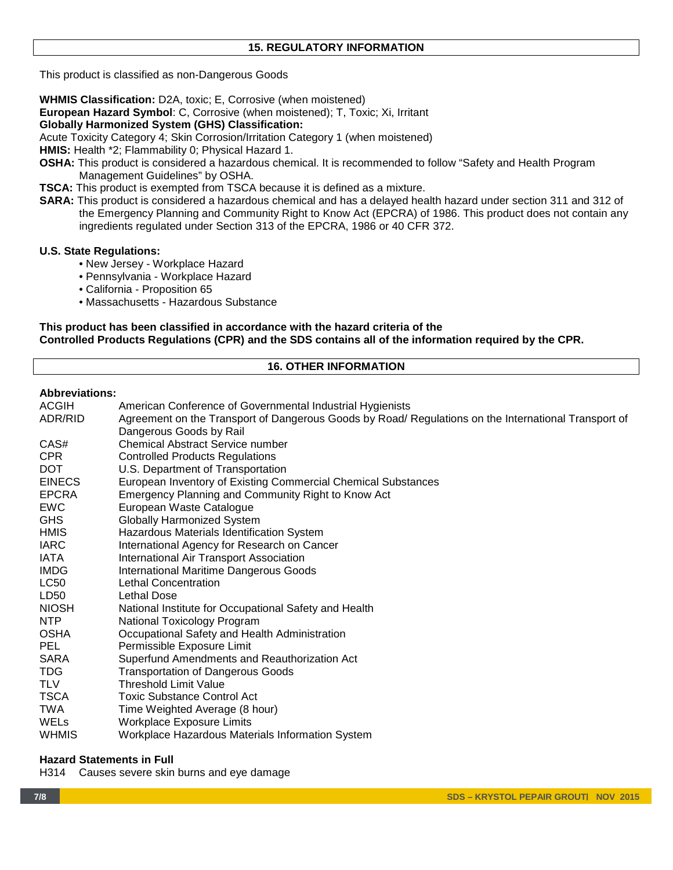This product is classified as non-Dangerous Goods

**WHMIS Classification:** D2A, toxic; E, Corrosive (when moistened)

**European Hazard Symbol**: C, Corrosive (when moistened); T, Toxic; Xi, Irritant

## **Globally Harmonized System (GHS) Classification:**

Acute Toxicity Category 4; Skin Corrosion/Irritation Category 1 (when moistened)

**HMIS:** Health \*2; Flammability 0; Physical Hazard 1.

- **OSHA:** This product is considered a hazardous chemical. It is recommended to follow "Safety and Health Program Management Guidelines" by OSHA.
- **TSCA:** This product is exempted from TSCA because it is defined as a mixture.
- **SARA:** This product is considered a hazardous chemical and has a delayed health hazard under section 311 and 312 of the Emergency Planning and Community Right to Know Act (EPCRA) of 1986. This product does not contain any ingredients regulated under Section 313 of the EPCRA, 1986 or 40 CFR 372.

## **U.S. State Regulations:**

- New Jersey Workplace Hazard
- Pennsylvania Workplace Hazard
- California Proposition 65
- Massachusetts Hazardous Substance

## **This product has been classified in accordance with the hazard criteria of the Controlled Products Regulations (CPR) and the SDS contains all of the information required by the CPR.**

# **16. OTHER INFORMATION**

## **Abbreviations:**

| ACGIH         | American Conference of Governmental Industrial Hygienists                                                                       |
|---------------|---------------------------------------------------------------------------------------------------------------------------------|
| ADR/RID       | Agreement on the Transport of Dangerous Goods by Road/ Regulations on the International Transport of<br>Dangerous Goods by Rail |
| CAS#          | <b>Chemical Abstract Service number</b>                                                                                         |
| <b>CPR</b>    | <b>Controlled Products Regulations</b>                                                                                          |
| <b>DOT</b>    | U.S. Department of Transportation                                                                                               |
| <b>EINECS</b> | European Inventory of Existing Commercial Chemical Substances                                                                   |
| <b>EPCRA</b>  | Emergency Planning and Community Right to Know Act                                                                              |
| <b>EWC</b>    | European Waste Catalogue                                                                                                        |
| GHS           | Globally Harmonized System                                                                                                      |
| <b>HMIS</b>   | Hazardous Materials Identification System                                                                                       |
| <b>IARC</b>   | International Agency for Research on Cancer                                                                                     |
| IATA          | International Air Transport Association                                                                                         |
| <b>IMDG</b>   | <b>International Maritime Dangerous Goods</b>                                                                                   |
| <b>LC50</b>   | <b>Lethal Concentration</b>                                                                                                     |
| LD50          | Lethal Dose                                                                                                                     |
| <b>NIOSH</b>  | National Institute for Occupational Safety and Health                                                                           |
| <b>NTP</b>    | National Toxicology Program                                                                                                     |
| <b>OSHA</b>   | Occupational Safety and Health Administration                                                                                   |
| PEL.          | Permissible Exposure Limit                                                                                                      |
| <b>SARA</b>   | Superfund Amendments and Reauthorization Act                                                                                    |
| TDG.          | <b>Transportation of Dangerous Goods</b>                                                                                        |
| <b>TLV</b>    | <b>Threshold Limit Value</b>                                                                                                    |
| <b>TSCA</b>   | <b>Toxic Substance Control Act</b>                                                                                              |
| <b>TWA</b>    | Time Weighted Average (8 hour)                                                                                                  |
| WELs          | <b>Workplace Exposure Limits</b>                                                                                                |
| WHMIS         | Workplace Hazardous Materials Information System                                                                                |
|               |                                                                                                                                 |

## **Hazard Statements in Full**

H314 Causes severe skin burns and eye damage